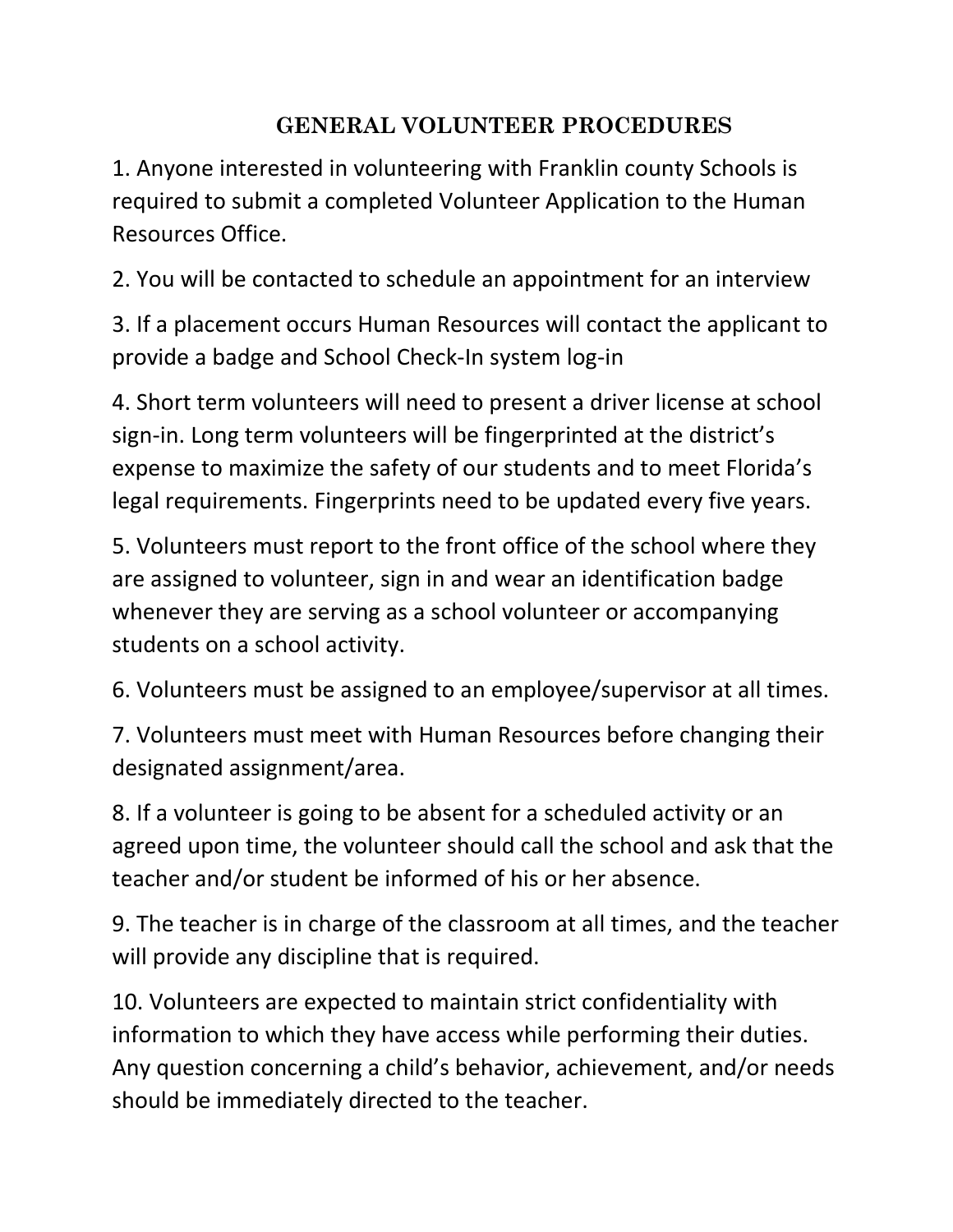## **GENERAL VOLUNTEER PROCEDURES**

1. Anyone interested in volunteering with Franklin county Schools is required to submit a completed Volunteer Application to the Human Resources Office.

2. You will be contacted to schedule an appointment for an interview

3. If a placement occurs Human Resources will contact the applicant to provide a badge and School Check-In system log-in

4. Short term volunteers will need to present a driver license at school sign-in. Long term volunteers will be fingerprinted at the district's expense to maximize the safety of our students and to meet Florida's legal requirements. Fingerprints need to be updated every five years.

5. Volunteers must report to the front office of the school where they are assigned to volunteer, sign in and wear an identification badge whenever they are serving as a school volunteer or accompanying students on a school activity.

6. Volunteers must be assigned to an employee/supervisor at all times.

7. Volunteers must meet with Human Resources before changing their designated assignment/area.

8. If a volunteer is going to be absent for a scheduled activity or an agreed upon time, the volunteer should call the school and ask that the teacher and/or student be informed of his or her absence.

9. The teacher is in charge of the classroom at all times, and the teacher will provide any discipline that is required.

10. Volunteers are expected to maintain strict confidentiality with information to which they have access while performing their duties. Any question concerning a child's behavior, achievement, and/or needs should be immediately directed to the teacher.